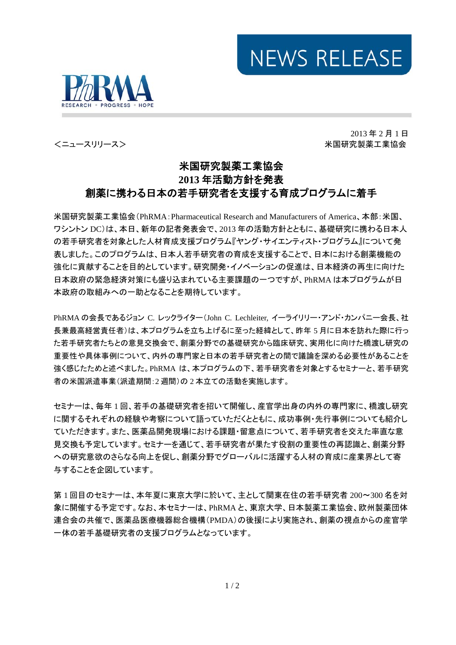



2013 年 2 月 1 日 <ニュースリリース> インファイン インファイン インファイン おおとこ おおとこ 米国研究製薬工業協会

## 米国研究製薬工業協会 **2013** 年活動方針を発表 創薬に携わる日本の若手研究者を支援する育成プログラムに着手

米国研究製薬工業協会(PhRMA:Pharmaceutical Research and Manufacturers of America、本部:米国、 ワシントン DC)は、本日、新年の記者発表会で、2013 年の活動方針とともに、基礎研究に携わる日本人 の若手研究者を対象とした人材育成支援プログラム『ヤング・サイエンティスト・プログラム』について発 表しました。このプログラムは、日本人若手研究者の育成を支援することで、日本における創薬機能の 強化に貢献することを目的としています。研究開発・イノベーションの促進は、日本経済の再生に向けた 日本政府の緊急経済対策にも盛り込まれている主要課題の一つですが、PhRMA は本プログラムが日 本政府の取組みへの一助となることを期待しています。

PhRMA の会長であるジョン C. レックライター(John C. Lechleiter, イーライリリー・アンド・カンパニー会長、社 長兼最高経営責任者)は、本プログラムを立ち上げるに至った経緯として、昨年 5 月に日本を訪れた際に行っ た若手研究者たちとの意見交換会で、創薬分野での基礎研究から臨床研究、実用化に向けた橋渡し研究の 重要性や具体事例について、内外の専門家と日本の若手研究者との間で議論を深める必要性があることを 強く感じたためと述べました。PhRMA は、本プログラムの下、若手研究者を対象とするセミナーと、若手研究 者の米国派遣事業(派遣期間:2 週間)の 2 本立ての活動を実施します。

セミナーは、毎年 1 回、若手の基礎研究者を招いて開催し、産官学出身の内外の専門家に、橋渡し研究 に関するそれぞれの経験や考察について語っていただくとともに、成功事例・先行事例についても紹介し ていただきます。また、医薬品開発現場における課題・留意点について、若手研究者を交えた率直な意 見交換も予定しています。セミナーを通じて、若手研究者が果たす役割の重要性の再認識と、創薬分野 への研究意欲のさらなる向上を促し、創薬分野でグローバルに活躍する人材の育成に産業界として寄 与することを企図しています。

第 1 回目のセミナーは、本年夏に東京大学に於いて、主として関東在住の若手研究者 200~300 名を対 象に開催する予定です。なお、本セミナーは、PhRMA と、東京大学、日本製薬工業協会、欧州製薬団体 連合会の共催で、医薬品医療機器総合機構(PMDA)の後援により実施され、創薬の視点からの産官学 一体の若手基礎研究者の支援プログラムとなっています。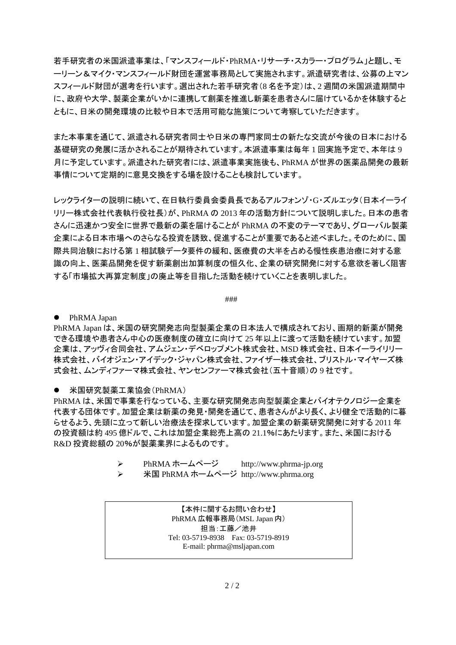若手研究者の米国派遣事業は、「マンスフィールド・PhRMA・リサーチ・スカラー・プログラム」と題し、モ ーリーン&マイク・マンスフィールド財団を運営事務局として実施されます。派遣研究者は、公募の上マン スフィールド財団が選考を行います。選出された若手研究者(8 名を予定)は、2 週間の米国派遣期間中 に、政府や大学、製薬企業がいかに連携して創薬を推進し新薬を患者さんに届けているかを体験すると ともに、日米の開発環境の比較や日本で活用可能な施策について考察していただきます。

また本事業を通じて、派遣される研究者同士や日米の専門家同士の新たな交流が今後の日本における 基礎研究の発展に活かされることが期待されています。本派遣事業は毎年 1 回実施予定で、本年は 9 月に予定しています。派遣された研究者には、派遣事業実施後も、PhRMA が世界の医薬品開発の最新 事情について定期的に意見交換をする場を設けることも検討しています。

レックライターの説明に続いて、在日執行委員会委員長であるアルフォンゾ・G・ズルエッタ(日本イーライ リリー株式会社代表執行役社長)が、PhRMA の 2013 年の活動方針について説明しました。日本の患者 さんに迅速かつ安全に世界で最新の薬を届けることが PhRMA の不変のテーマであり、グローバル製薬 企業による日本市場へのさらなる投資を誘致、促進することが重要であると述べました。そのために、国 際共同治験における第 1 相試験データ要件の緩和、医療費の大半を占める慢性疾患治療に対する意 識の向上、医薬品開発を促す新薬創出加算制度の恒久化、企業の研究開発に対する意欲を著しく阻害 する「市場拡大再算定制度」の廃止等を目指した活動を続けていくことを表明しました。

###

● PhRMA Japan

PhRMA Japan は、米国の研究開発志向型製薬企業の日本法人で構成されており、画期的新薬が開発 できる環境や患者さん中心の医療制度の確立に向けて 25 年以上に渡って活動を続けています。加盟 企業は、アッヴィ合同会社、アムジェン・デベロップメント株式会社、MSD 株式会社、日本イーライリリー 株式会社、バイオジェン・アイデック・ジャパン株式会社、ファイザー株式会社、ブリストル・マイヤーズ株 式会社、ムンディファーマ株式会社、ヤンセンファーマ株式会社(五十音順)の 9 社です。

● 米国研究製薬工業協会(PhRMA)

PhRMA は、米国で事業を行なっている、主要な研究開発志向型製薬企業とバイオテクノロジー企業を 代表する団体です。加盟企業は新薬の発見・開発を通じて、患者さんがより長く、より健全で活動的に暮 らせるよう、先頭に立って新しい治療法を探求しています。加盟企業の新薬研究開発に対する 2011 年 の投資額は約 495 億ドルで、これは加盟企業総売上高の 21.1%にあたります。また、米国における R&D 投資総額の 20%が製薬業界によるものです。

- PhRMA ホームページ http://www.phrma-jp.org
- 米国 PhRMA ホームページ http://www.phrma.org

【本件に関するお問い合わせ】 PhRMA 広報事務局(MSL Japan 内) 担当:工藤/池井 Tel: 03-5719-8938 Fax: 03-5719-8919 E-mail: phrma@msljapan.com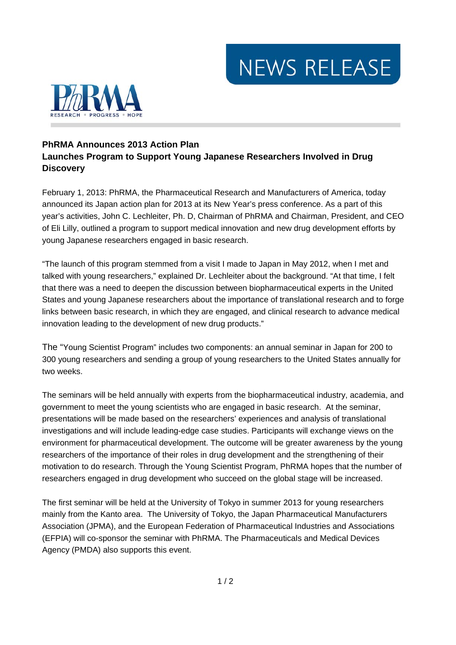NEWS RELEASE



## **PhRMA Announces 2013 Action Plan Launches Program to Support Young Japanese Researchers Involved in Drug Discovery**

February 1, 2013: PhRMA, the Pharmaceutical Research and Manufacturers of America, today announced its Japan action plan for 2013 at its New Year's press conference. As a part of this year's activities, John C. Lechleiter, Ph. D, Chairman of PhRMA and Chairman, President, and CEO of Eli Lilly, outlined a program to support medical innovation and new drug development efforts by young Japanese researchers engaged in basic research.

"The launch of this program stemmed from a visit I made to Japan in May 2012, when I met and talked with young researchers," explained Dr. Lechleiter about the background. "At that time, I felt that there was a need to deepen the discussion between biopharmaceutical experts in the United States and young Japanese researchers about the importance of translational research and to forge links between basic research, in which they are engaged, and clinical research to advance medical innovation leading to the development of new drug products."

The "Young Scientist Program" includes two components: an annual seminar in Japan for 200 to 300 young researchers and sending a group of young researchers to the United States annually for two weeks.

The seminars will be held annually with experts from the biopharmaceutical industry, academia, and government to meet the young scientists who are engaged in basic research. At the seminar, presentations will be made based on the researchers' experiences and analysis of translational investigations and will include leading-edge case studies. Participants will exchange views on the environment for pharmaceutical development. The outcome will be greater awareness by the young researchers of the importance of their roles in drug development and the strengthening of their motivation to do research. Through the Young Scientist Program, PhRMA hopes that the number of researchers engaged in drug development who succeed on the global stage will be increased.

The first seminar will be held at the University of Tokyo in summer 2013 for young researchers mainly from the Kanto area. The University of Tokyo, the Japan Pharmaceutical Manufacturers Association (JPMA), and the European Federation of Pharmaceutical Industries and Associations (EFPIA) will co-sponsor the seminar with PhRMA. The Pharmaceuticals and Medical Devices Agency (PMDA) also supports this event.